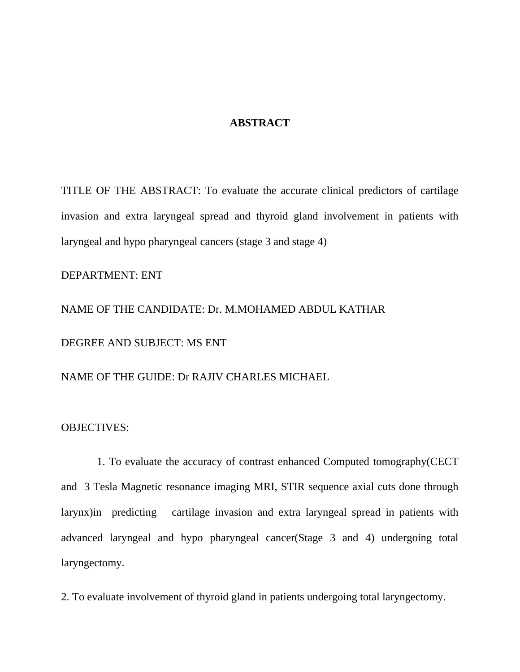## **ABSTRACT**

TITLE OF THE ABSTRACT: To evaluate the accurate clinical predictors of cartilage invasion and extra laryngeal spread and thyroid gland involvement in patients with laryngeal and hypo pharyngeal cancers (stage 3 and stage 4)

DEPARTMENT: ENT

NAME OF THE CANDIDATE: Dr. M.MOHAMED ABDUL KATHAR DEGREE AND SUBJECT: MS ENT

NAME OF THE GUIDE: Dr RAJIV CHARLES MICHAEL

OBJECTIVES:

 1. To evaluate the accuracy of contrast enhanced Computed tomography(CECT and 3 Tesla Magnetic resonance imaging MRI, STIR sequence axial cuts done through larynx)in predicting cartilage invasion and extra laryngeal spread in patients with advanced laryngeal and hypo pharyngeal cancer(Stage 3 and 4) undergoing total laryngectomy.

2. To evaluate involvement of thyroid gland in patients undergoing total laryngectomy.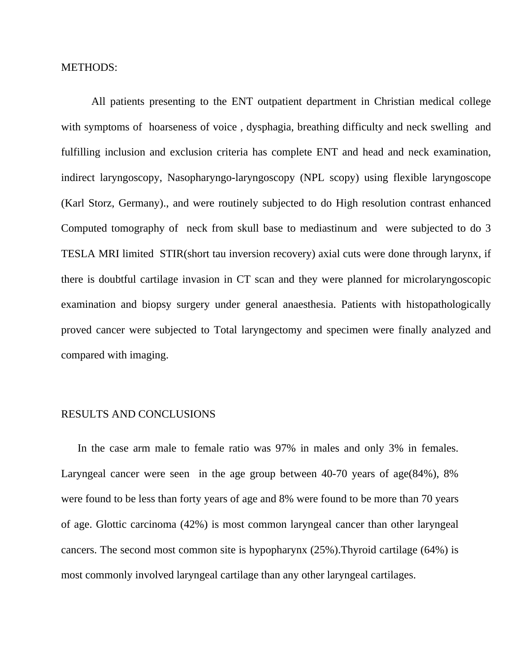METHODS:

 All patients presenting to the ENT outpatient department in Christian medical college with symptoms of hoarseness of voice , dysphagia, breathing difficulty and neck swelling and fulfilling inclusion and exclusion criteria has complete ENT and head and neck examination, indirect laryngoscopy, Nasopharyngo-laryngoscopy (NPL scopy) using flexible laryngoscope (Karl Storz, Germany)., and were routinely subjected to do High resolution contrast enhanced Computed tomography of neck from skull base to mediastinum and were subjected to do 3 TESLA MRI limited STIR(short tau inversion recovery) axial cuts were done through larynx, if there is doubtful cartilage invasion in CT scan and they were planned for microlaryngoscopic examination and biopsy surgery under general anaesthesia. Patients with histopathologically proved cancer were subjected to Total laryngectomy and specimen were finally analyzed and compared with imaging.

## RESULTS AND CONCLUSIONS

 In the case arm male to female ratio was 97% in males and only 3% in females. Laryngeal cancer were seen in the age group between 40-70 years of age(84%), 8% were found to be less than forty years of age and 8% were found to be more than 70 years of age. Glottic carcinoma (42%) is most common laryngeal cancer than other laryngeal cancers. The second most common site is hypopharynx (25%).Thyroid cartilage (64%) is most commonly involved laryngeal cartilage than any other laryngeal cartilages.